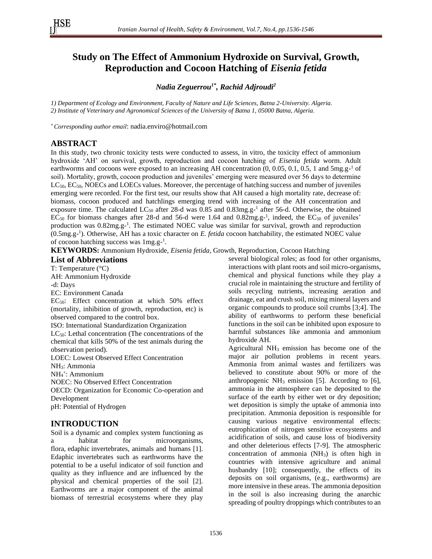# **Study on The Effect of Ammonium Hydroxide on Survival, Growth, Reproduction and Cocoon Hatching of** *Eisenia fetida*

*Nadia Zeguerrou1\* , Rachid Adjroudi<sup>2</sup>*

*1) Department of Ecology and Environment, Faculty of Nature and Life Sciences, Batna 2-University. Algeria. 2) Institute of Veterinary and Agronomical Sciences of the University of Batna 1, 05000 Batna, Algeria.* 

*\* Corresponding author email*: [nadia.enviro@hotmail.com](mailto:nadia.enviro@hotmail.com)

# **ABSTRACT**

In this study, two chronic toxicity tests were conducted to assess, in vitro, the toxicity effect of ammonium hydroxide 'AH' on survival, growth, reproduction and cocoon hatching of *Eisenia fetida* worm. Adult earthworms and cocoons were exposed to an increasing AH concentration (0, 0.05, 0.1, 0.5, 1 and 5mg.g<sup>-1</sup> of soil). Mortality, growth, cocoon production and juveniles' emerging were measured over 56 days to determine LC<sub>50</sub>, EC<sub>50</sub>, NOECs and LOECs values. Moreover, the percentage of hatching success and number of juveniles emerging were recorded. For the first test, our results show that AH caused a high mortality rate, decrease of: biomass, cocoon produced and hatchlings emerging trend with increasing of the AH concentration and exposure time. The calculated LC<sub>50</sub> after 28-d was  $0.85$  and  $0.83$ mg.g<sup>-1</sup> after 56-d. Otherwise, the obtained  $EC_{50}$  for biomass changes after 28-d and 56-d were 1.64 and 0.82mg.g<sup>-1</sup>, indeed, the  $EC_{50}$  of juveniles' production was 0.82mg.g<sup>-1</sup>. The estimated NOEC value was similar for survival, growth and reproduction (0.5mg.g-1 ). Otherwise, AH has a toxic character on *E. fetida* cocoon hatchability, the estimated NOEC value of cocoon hatching success was  $1mg.g^{-1}$ .

**KEYWORDS:** Ammonium Hydroxide, *Eisenia fetida*, Growth, Reproduction, Cocoon Hatching

### **List of Abbreviations**

T: Temperature (°C)

AH: Ammonium Hydroxide

-d: Days

EC: Environment Canada

 $EC_{50}$ : Effect concentration at which 50% effect (mortality, inhibition of growth, reproduction, etc) is observed compared to the control box.

ISO: International Standardization Organization

 $LC_{50}$ : Lethal concentration (The concentrations of the chemical that kills 50% of the test animals during the observation period).

LOEC: Lowest Observed Effect Concentration

NH3: Ammonia

NH<sub>4</sub><sup>+</sup>: Ammonium

NOEC: No Observed Effect Concentration

OECD: Organization for Economic Co-operation and Development

pH: Potential of Hydrogen

# **INTRODUCTION**

Soil is a dynamic and complex system functioning as a habitat for microorganisms, flora, edaphic invertebrates, animals and humans [1]. Edaphic invertebrates such as earthworms have the potential to be a useful indicator of soil function and quality as they influence and are influenced by the physical and chemical properties of the soil [2]. Earthworms are a major component of the animal biomass of terrestrial ecosystems where they play

several biological roles; as food for other organisms, interactions with plant roots and soil micro-organisms, chemical and physical functions while they play a crucial role in maintaining the structure and fertility of soils recycling nutrients, increasing aeration and drainage, eat and crush soil, mixing mineral layers and organic compounds to produce soil crumbs [3;4]. The ability of earthworms to perform these beneficial functions in the soil can be inhibited upon exposure to harmful substances like ammonia and ammonium hydroxide AH.

Agricultural  $NH<sub>3</sub>$  emission has become one of the major air pollution problems in recent years. Ammonia from animal wastes and fertilizers was believed to constitute about 90% or more of the anthropogenic NH<sup>3</sup> emission [5]. According to [6], ammonia in the atmosphere can be deposited to the surface of the earth by either wet or dry deposition; wet deposition is simply the uptake of ammonia into precipitation. Ammonia deposition is responsible for causing various negative environmental effects: eutrophication of nitrogen sensitive ecosystems and acidification of soils, and cause loss of biodiversity and other deleterious effects [7-9]. The atmospheric concentration of ammonia (NH3) is often high in countries with intensive agriculture and animal husbandry [10]; consequently, the effects of its deposits on soil organisms, (e.g., earthworms) are more intensive in these areas. The ammonia deposition in the soil is also increasing during the anarchic spreading of poultry droppings which contributes to an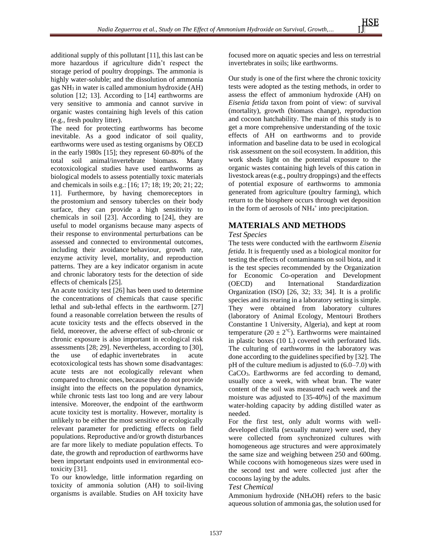additional supply of this pollutant [11], this last can be more hazardous if agriculture didn't respect the storage period of poultry droppings. The ammonia is highly water-soluble; and the dissolution of ammonia gas NH<sup>3</sup> in water is called ammonium hydroxide (AH) solution [12; 13]. According to [14] earthworms are very sensitive to ammonia and cannot survive in organic wastes containing high levels of this cation (e.g., fresh poultry litter).

The need for protecting earthworms has become inevitable. As a good indicator of soil quality, earthworms were used as testing organisms by OECD in the early 1980s [15]; they represent 60-80% of the total soil animal/invertebrate biomass. Many ecotoxicological studies have used earthworms as biological models to assess potentially toxic materials and chemicals in soils e.g.: [16; 17; 18; 19; 20; 21; 22; 11]. Furthermore, by having chemoreceptors in the prostomium and sensory tubercles on their body surface, they can provide a high sensitivity to chemicals in soil [23]. According to [24], they are useful to model organisms because many aspects of their response to environmental perturbations can be assessed and connected to environmental outcomes, including their avoidance behaviour, growth rate, enzyme activity level, mortality, and reproduction patterns. They are a key indicator organism in acute and chronic laboratory tests for the detection of side effects of chemicals [25].

An acute toxicity test [26] has been used to determine the concentrations of chemicals that cause specific lethal and sub-lethal effects in the earthworm. [27] found a reasonable correlation between the results of acute toxicity tests and the effects observed in the field, moreover, the adverse effect of sub-chronic or chronic exposure is also important in ecological risk assessments [28; 29]. Nevertheless, according to [30], the use of edaphic invertebrates in acute ecotoxicological tests has shown some disadvantages: acute tests are not ecologically relevant when compared to chronic ones, because they do not provide insight into the effects on the population dynamics, while chronic tests last too long and are very labour intensive. Moreover, the endpoint of the earthworm acute toxicity test is mortality. However, mortality is unlikely to be either the most sensitive or ecologically relevant parameter for predicting effects on field populations. Reproductive and/or growth disturbances are far more likely to mediate population effects. To date, the growth and reproduction of earthworms have been important endpoints used in environmental ecotoxicity [31].

To our knowledge, little information regarding on toxicity of ammonia solution (AH) to soil-living organisms is available. Studies on AH toxicity have focused more on aquatic species and less on terrestrial invertebrates in soils; like earthworms.

Our study is one of the first where the chronic toxicity tests were adopted as the testing methods, in order to assess the effect of ammonium hydroxide (AH) on *Eisenia fetida* taxon from point of view: of survival (mortality), growth (biomass change), reproduction and cocoon hatchability. The main of this study is to get a more comprehensive understanding of the toxic effects of AH on earthworms and to provide information and baseline data to be used in ecological risk assessment on the soil ecosystem. In addition, this work sheds light on the potential exposure to the organic wastes containing high levels of this cation in livestock areas (e.g., poultry droppings) and the effects of potential exposure of earthworms to ammonia generated from agriculture (poultry farming), which return to the biosphere occurs through wet deposition in the form of aerosols of  $NH<sub>4</sub><sup>+</sup>$  into precipitation.

# **MATERIALS AND METHODS**

# *Test Species*

The tests were conducted with the earthworm *Eisenia fetida*. It is frequently used as a biological monitor for testing the effects of contaminants on soil biota, and it is the test species recommended by the Organization for Economic Co-operation and Development (OECD) and International Standardization Organization (ISO) [26, 32; 33; 34]. It is a prolific species and its rearing in a laboratory setting is simple. They were obtained from laboratory cultures (laboratory of Animal Ecology, Mentouri Brothers Constantine 1 University, Algeria), and kept at room temperature (20  $\pm$  2<sup>°C</sup>). Earthworms were maintained in plastic boxes (10 L) covered with perforated lids. The culturing of earthworms in the laboratory was done according to the guidelines specified by [32]. The pH of the culture medium is adjusted to (6.0–7.0) with CaCO3. Earthworms are fed according to demand, usually once a week, with wheat bran. The water content of the soil was measured each week and the moisture was adjusted to [35-40%] of the maximum water-holding capacity by adding distilled water as needed.

For the first test, only adult worms with welldeveloped clitella (sexually mature) were used, they were collected from synchronized cultures with homogeneous age structures and were approximately the same size and weighing between 250 and 600mg. While cocoons with homogeneous sizes were used in the second test and were collected just after the cocoons laying by the adults.

### *Test Chemical*

Ammonium hydroxide (NH4OH) refers to the basic aqueous solution of ammonia gas, the solution used for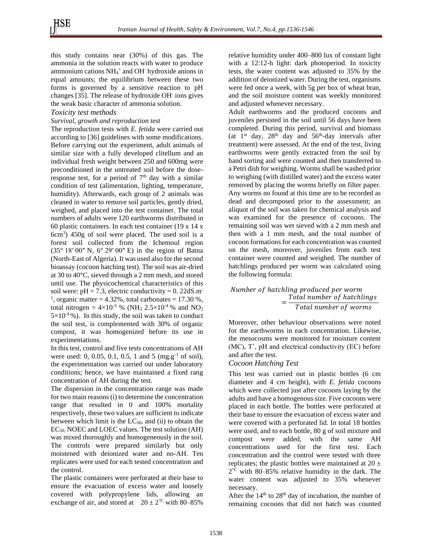this study contains near (30%) of this gas. The ammonia in the solution reacts with water to produce ammonium cations NH<sup>4</sup> + and OH- hydroxide anions in equal amounts; the equilibrium between these two forms is governed by a sensitive reaction to pH changes [35]. The release of hydroxide OH-ions gives the weak basic character of ammonia solution.

### *Toxicity test methods*

#### *Survival, growth and reproduction test*

The reproduction tests with *E. fetida* were carried out according to [36] guidelines with some modifications. Before carrying out the experiment, adult animals of similar size with a fully developed clitellum and an individual fresh weight between 250 and 600mg were preconditioned in the untreated soil before the doseresponse test, for a period of  $7<sup>th</sup>$  day with a similar condition of test (alimentation, lighting, temperature, humidity). Afterwards, each group of 2 animals was cleaned in water to remove soil particles, gently dried, weighed, and placed into the test container. The total numbers of adults were 120 earthworms distributed in 60 plastic containers. In each test container (19 x 14 x 6cm<sup>3</sup> ) 450g of soil were placed. The used soil is a forest soil collected from the Ichemoul region (35° 18′ 00″ N, 6° 29′ 00″ E) in the region of Batna (North-East of Algeria). It was used also for the second bioassay (cocoon hatching test). The soil was air-dried at 30 to 40°C, sieved through a 2 mm mesh, and stored until use. The physicochemical characteristics of this soil were:  $pH = 7.3$ , electric conductivity = 0. 22dS.m. <sup>1</sup>, organic matter = 4.32%, total carbonates = 17.30 %, total nitrogen =  $4 \times 10^{-3}$  % (NH<sub>3</sub> 2.5 $\times 10^{-4}$  % and NO<sub>2</sub>  $5\times10^{-4}$ %). In this study, the soil was taken to conduct the soil test, is complemented with 30% of organic compost, it was homogenized before its use in experimentations.

In this test, control and five tests concentrations of AH were used: 0, 0.05, 0.1, 0.5, 1 and 5 (mg.g<sup>-1</sup> of soil), the experimentation was carried out under laboratory conditions; hence, we have maintained a fixed rang concentration of AH during the test.

The dispersion in the concentration range was made for two main reasons (i) to determine the concentration range that resulted in 0 and 100% mortality respectively, these two values are sufficient to indicate between which limit is the  $LC_{50}$ , and (ii) to obtain the EC50, NOEC and LOEC values. The test solution (AH) was mixed thoroughly and homogeneously in the soil. The controls were prepared similarly but only moistened with deionized water and no-AH. Ten replicates were used for each tested concentration and the control.

The plastic containers were perforated at their base to ensure the evacuation of excess water and loosely covered with polypropylene lids, allowing an exchange of air, and stored at  $20 \pm 2^{\degree}$  with 80–85%

relative humidity under 400–800 lux of constant light with a 12:12-h light: dark photoperiod. In toxicity tests, the water content was adjusted to 35% by the addition of deionized water. During the test, organisms were fed once a week, with 5g per box of wheat bran, and the soil moisture content was weekly monitored and adjusted whenever necessary.

Adult earthworms and the produced cocoons and juveniles persisted in the soil until 56 days have been completed. During this period, survival and biomass (at  $1<sup>st</sup>$  day,  $28<sup>th</sup>$  day and  $56<sup>th</sup>$ -day intervals after treatment) were assessed. At the end of the test, living earthworms were gently extracted from the soil by hand sorting and were counted and then transferred to a Petri dish for weighing. Worms shall be washed prior to weighing (with distilled water) and the excess water removed by placing the worms briefly on filter paper. Any worms no found at this time are to be recorded as dead and decomposed prior to the assessment; an aliquot of the soil was taken for chemical analysis and was examined for the presence of cocoons. The remaining soil was wet sieved with a 2 mm mesh and then with a 1 mm mesh, and the total number of cocoon formations for each concentration was counted on the mesh, moreover, juveniles from each test container were counted and weighed. The number of hatchlings produced per worm was calculated using the following formula:

### Number of hatchling produced per worm  $=\frac{Total number of hatchlings}{Total number of new numbers}$ Total number of worms

Moreover, other behaviour observations were noted for the earthworms in each concentration. Likewise, the mesocosms were monitored for moisture content (MC), T˚, pH and electrical conductivity (EC) before and after the test.

#### *Cocoon Hatching Test*

This test was carried out in plastic bottles (6 cm diameter and 4 cm height), with *E. fetida* cocoons which were collected just after cocoons laying by the adults and have a homogenous size. Five cocoons were placed in each bottle. The bottles were perforated at their base to ensure the evacuation of excess water and were covered with a perforated lid. In total 18 bottles were used, and to each bottle, 80 g of soil mixture and compost were added, with the same AH concentrations used for the first test. Each concentration and the control were tested with three replicates; the plastic bottles were maintained at  $20 \pm$  $2^{\degree}$  with 80–85% relative humidity in the dark. The water content was adjusted to 35% whenever necessary.

After the  $14<sup>th</sup>$  to  $28<sup>th</sup>$  day of incubation, the number of remaining cocoons that did not hatch was counted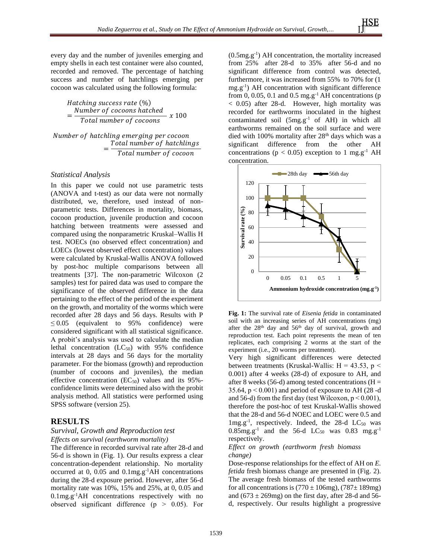every day and the number of juveniles emerging and empty shells in each test container were also counted, recorded and removed. The percentage of hatching success and number of hatchlings emerging per cocoon was calculated using the following formula:

> *Hatching success rate*  $(\%)$ =  $\frac{Number\ of\ cocoons\ hatched}{T_{\text{total}}\ W_{\text{max}}\ \text{for\ }x\neq0} \ \chi\ 100$ Total number of cocoons

Number of hatchling emerging per cocoon  $=\frac{Total\ number\ of\ hatchlings}{T + 1}$ Total number of cocoon

### *Statistical Analysis*

In this paper we could not use parametric tests (ANOVA and t-test) as our data were not normally distributed, we, therefore, used instead of nonparametric tests. Differences in mortality, biomass, cocoon production, juvenile production and cocoon hatching between treatments were assessed and compared using the nonparametric Kruskal–Wallis H test. NOECs (no observed effect concentration) and LOECs (lowest observed effect concentration) values were calculated by Kruskal-Wallis ANOVA followed by post-hoc multiple comparisons between all treatments [37]. The non-parametric Wilcoxon (2 samples) test for paired data was used to compare the significance of the observed difference in the data pertaining to the effect of the period of the experiment on the growth, and mortality of the worms which were recorded after 28 days and 56 days. Results with P  $\leq$  0.05 (equivalent to 95% confidence) were considered significant with all statistical significance. A probit's analysis was used to calculate the median lethal concentration  $(LC_{50})$  with 95% confidence intervals at 28 days and 56 days for the mortality parameter. For the biomass (growth) and reproduction (number of cocoons and juveniles), the median effective concentration  $(EC_{50})$  values and its 95%confidence limits were determined also with the probit analysis method. All statistics were performed using SPSS software (version 25).

# **RESULTS**

#### *Survival, Growth and Reproduction test Effects on survival (earthworm mortality)*

The difference in recorded survival rate after 28-d and 56-d is shown in (Fig. 1). Our results express a clear concentration-dependent relationship. No mortality occurred at 0, 0.05 and 0.1mg.g-1AH concentrations during the 28-d exposure period. However, after 56-d mortality rate was 10%, 15% and 25%, at 0, 0.05 and 0.1mg.g-1AH concentrations respectively with no observed significant difference ( $p > 0.05$ ). For

(0.5mg.g-1 ) AH concentration, the mortality increased from 25% after 28-d to 35% after 56-d and no significant difference from control was detected, furthermore, it was increased from 55% to 70% for (1 mg.g-1 ) AH concentration with significant difference from 0, 0.05, 0.1 and 0.5 mg.g<sup>-1</sup> AH concentrations (p < 0.05) after 28-d. However, high mortality was recorded for earthworms inoculated in the highest contaminated soil (5mg.g<sup>-1</sup> of AH) in which all earthworms remained on the soil surface and were died with 100% mortality after  $28<sup>th</sup>$  days which was a significant difference from the other AH concentrations ( $p < 0.05$ ) exception to 1 mg.g<sup>-1</sup> AH concentration.



**Fig. 1:** The survival rate of *Eisenia fetida* in contaminated soil with an increasing series of AH concentrations (mg) after the  $28<sup>th</sup>$  day and  $56<sup>th</sup>$  day of survival, growth and reproduction test. Each point represents the mean of ten replicates, each comprising 2 worms at the start of the experiment (i.e., 20 worms per treatment).

Very high significant differences were detected between treatments (Kruskal-Wallis:  $H = 43.53$ ,  $p <$ 0.001) after 4 weeks (28-d) of exposure to AH, and after 8 weeks (56-d) among tested concentrations ( $H =$ 35.64,  $p < 0.001$ ) and period of exposure to AH (28 -d) and 56-d) from the first day (test Wilcoxon,  $p < 0.001$ ), therefore the post-hoc of test Kruskal-Wallis showed that the 28-d and 56-d NOEC and LOEC were 0.5 and  $1mg.g^{-1}$ , respectively. Indeed, the 28-d LC<sub>50</sub> was  $0.85$ mg.g<sup>-1</sup> and the 56-d LC<sub>50</sub> was 0.83 mg.g<sup>-1</sup> respectively.

#### *Effect on growth (earthworm fresh biomass change)*

Dose-response relationships for the effect of AH on *E. fetida* fresh biomass change are presented in (Fig. 2). The average fresh biomass of the tested earthworms for all concentrations is  $(770 \pm 106 \text{mg})$ ,  $(787 \pm 189 \text{mg})$ and  $(673 \pm 269$ mg) on the first day, after 28-d and 56d, respectively. Our results highlight a progressive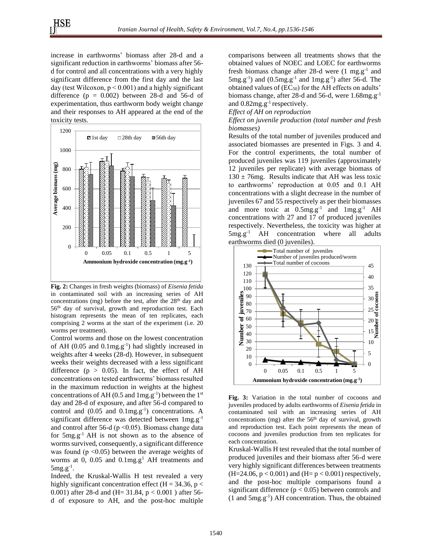increase in earthworms' biomass after 28-d and a significant reduction in earthworms' biomass after 56 d for control and all concentrations with a very highly significant difference from the first day and the last day (test Wilcoxon,  $p < 0.001$ ) and a highly significant difference  $(p = 0.002)$  between 28-d and 56-d of experimentation, thus earthworm body weight change and their responses to AH appeared at the end of the toxicity tests.



**Fig. 2:** Changes in fresh weights (biomass) of *Eisenia fetida*  in contaminated soil with an increasing series of AH concentrations (mg) before the test, after the  $28<sup>th</sup>$  day and 56th day of survival, growth and reproduction test. Each histogram represents the mean of ten replicates, each comprising 2 worms at the start of the experiment (i.e. 20 worms per treatment).

Control worms and those on the lowest concentration of AH  $(0.05$  and  $0.1$ mg.g<sup>-1</sup>) had slightly increased in weights after 4 weeks (28-d). However, in subsequent weeks their weights decreased with a less significant difference  $(p > 0.05)$ . In fact, the effect of AH concentrations on tested earthworms' biomass resulted in the maximum reduction in weights at the highest concentrations of AH (0.5 and  $1mg \cdot g^{-1}$ ) between the  $1<sup>st</sup>$ day and 28-d of exposure, and after 56-d compared to control and  $(0.05 \text{ and } 0.1 \text{mg.g}^{-1})$  concentrations. A significant difference was detected between  $1mg.g^{-1}$ and control after 56-d (p ˂0.05). Biomass change data for  $5mg \cdot g^{-1}$  AH is not shown as to the absence of worms survived, consequently, a significant difference was found ( $p \leq 0.05$ ) between the average weights of worms at 0, 0.05 and  $0.1$ mg.g<sup>1</sup> AH treatments and  $5mg.g^{-1}$ .

Indeed, the Kruskal-Wallis H test revealed a very highly significant concentration effect (H = 34.36*, p* < 0.001) after 28-d and (H= 31.84, p < 0.001 ) after 56 d of exposure to AH, and the post-hoc multiple comparisons between all treatments shows that the obtained values of NOEC and LOEC for earthworms fresh biomass change after 28-d were  $(1 \text{ mg} \cdot g^{-1})$  and  $5mg \cdot g^{-1}$ ) and  $(0.5mg \cdot g^{-1})$  and  $1mg \cdot g^{-1}$ ) after 56-d. The obtained values of  $(EC_{50})$  for the AH effects on adults' biomass change, after 28-d and 56-d, were 1.68mg.g-1 and 0.82mg.g-1 respectively.

*Effect of AH on reproduction*

*Effect on juvenile production (total number and fresh biomasses)*

Results of the total number of juveniles produced and associated biomasses are presented in Figs. 3 and 4. For the control experiments, the total number of produced juveniles was 119 juveniles (approximately 12 juveniles per replicate) with average biomass of  $130 \pm 76$  mg. Results indicate that AH was less toxic to earthworms' reproduction at 0.05 and 0.1 AH concentrations with a slight decrease in the number of juveniles 67 and 55 respectively as per their biomasses and more toxic at  $0.5mg.g^{-1}$  and  $1mg.g^{-1}$  AH concentrations with 27 and 17 of produced juveniles respectively. Nevertheless, the toxicity was higher at  $5mg.g^{-1}$  AH concentration where all adults earthworms died (0 juveniles).



**Fig. 3:** Variation in the total number of cocoons and juveniles produced by adults earthworms of *Eisenia fetida* in contaminated soil with an increasing series of AH concentrations (mg) after the  $56<sup>th</sup>$  day of survival, growth and reproduction test. Each point represents the mean of cocoons and juveniles production from ten replicates for each concentration.

Kruskal-Wallis H test revealed that the total number of produced juveniles and their biomass after 56-d were very highly significant differences between treatments  $(H=24.06, p < 0.001)$  and  $(H=p < 0.001)$  respectively, and the post-hoc multiple comparisons found a significant difference ( $p < 0.05$ ) between controls and (1 and 5mg.g-1 ) AH concentration. Thus, the obtained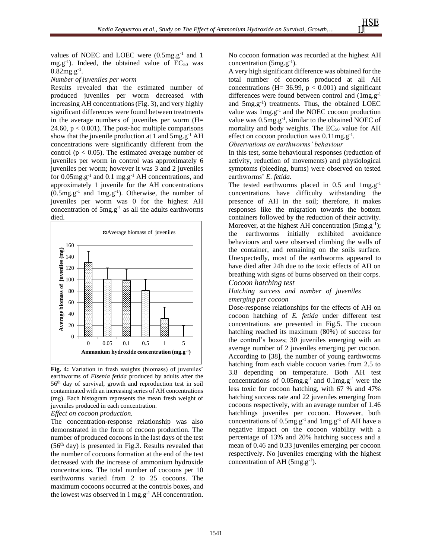values of NOEC and LOEC were  $(0.5mg.g^{-1})$  and 1  $mg.g^{-1}$ ). Indeed, the obtained value of  $EC_{50}$  was  $0.82mg.g^{-1}$ .

#### *Number of juveniles per worm*

Results revealed that the estimated number of produced juveniles per worm decreased with increasing AH concentrations (Fig. 3), and very highly significant differences were found between treatments in the average numbers of juveniles per worm (H= 24.60,  $p < 0.001$ ). The post-hoc multiple comparisons show that the juvenile production at 1 and  $5mg.g^{-1}$  AH concentrations were significantly different from the control ( $p < 0.05$ ). The estimated average number of juveniles per worm in control was approximately 6 juveniles per worm; however it was 3 and 2 juveniles for  $0.05$ mg.g<sup>-1</sup> and  $0.1$  mg.g<sup>-1</sup> AH concentrations, and approximately 1 juvenile for the AH concentrations  $(0.5mg.g^{-1})$  and  $1mg.g^{-1}$ ). Otherwise, the number of juveniles per worm was 0 for the highest AH concentration of  $5mg.g^{-1}$  as all the adults earthworms died.



**Fig. 4:** Variation in fresh weights (biomass) of juveniles' earthworms of *Eisenia fetida* produced by adults after the 56th day of survival, growth and reproduction test in soil contaminated with an increasing series of AH concentrations (mg). Each histogram represents the mean fresh weight of juveniles produced in each concentration.

#### *Effect on cocoon production.*

The concentration-response relationship was also demonstrated in the form of cocoon production. The number of produced cocoons in the last days of the test (56th day) is presented in Fig.3. Results revealed that the number of cocoons formation at the end of the test decreased with the increase of ammonium hydroxide concentrations. The total number of cocoons per 10 earthworms varied from 2 to 25 cocoons. The maximum cocoons occurred at the controls boxes, and the lowest was observed in  $1 \text{ mg} \cdot g^{-1}$  AH concentration. No cocoon formation was recorded at the highest AH concentration  $(5mg.g^{-1})$ .

A very high significant difference was obtained for the total number of cocoons produced at all AH concentrations (H=  $36.99$ ,  $p < 0.001$ ) and significant differences were found between control and  $(1mg.g^{-1})$ and 5mg.g-1 ) treatments. Thus, the obtained LOEC value was  $1mg.g^{-1}$  and the NOEC cocoon production value was  $0.5mg.g^{-1}$ , similar to the obtained NOEC of mortality and body weights. The  $EC_{50}$  value for AH effect on cocoon production was  $0.11$ mg.g<sup>-1</sup>.

*Observations on earthworms' behaviour*

In this test, some behavioural responses (reduction of activity, reduction of movements) and physiological symptoms (bleeding, burns) were observed on tested earthworms' *E. fetida.*

The tested earthworms placed in  $0.5$  and  $1mg.g^{-1}$ concentrations have difficulty withstanding the presence of AH in the soil; therefore, it makes responses like the migration towards the bottom containers followed by the reduction of their activity. Moreover, at the highest AH concentration  $(5mg.g^{-1})$ ; the earthworms initially exhibited avoidance behaviours and were observed climbing the walls of the container, and remaining on the soils surface. Unexpectedly, most of the earthworms appeared to have died after 24h due to the toxic effects of AH on breathing with signs of burns observed on their corps. *Cocoon hatching test*

#### *Hatching success and number of juveniles emerging per cocoon*

Dose-response relationships for the effects of AH on cocoon hatching of *E. fetida* under different test concentrations are presented in Fig.5. The cocoon hatching reached its maximum (80%) of success for the control's boxes; 30 juveniles emerging with an average number of 2 juveniles emerging per cocoon. According to [38], the number of young earthworms hatching from each viable cocoon varies from 2.5 to 3.8 depending on temperature. Both AH test concentrations of  $0.05mg.g^{-1}$  and  $0.1mg.g^{-1}$  were the less toxic for cocoon hatching, with 67 % and 47% hatching success rate and 22 juveniles emerging from cocoons respectively, with an average number of 1.46 hatchlings juveniles per cocoon. However, both concentrations of 0.5mg.g-1 and 1mg.g-1 of AH have a negative impact on the cocoon viability with a percentage of 13% and 20% hatching success and a mean of 0.46 and 0.33 juveniles emerging per cocoon respectively. No juveniles emerging with the highest concentration of AH  $(5mg.g^{-1})$ .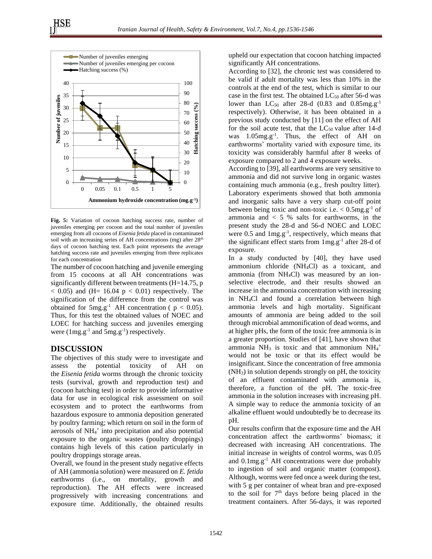

**Fig. 5:** Variation of cocoon hatching success rate, number of juveniles emerging per cocoon and the total number of juveniles emerging from all cocoons of *Eisenia fetida* placed in contaminated soil with an increasing series of AH concentrations (mg) after 28<sup>th</sup> days of cocoon hatching test. Each point represents the average hatching success rate and juveniles emerging from three replicates for each concentration

The number of cocoon hatching and juvenile emerging from 15 cocoons at all AH concentrations was significantly different between treatments (H=14.75, p  $< 0.05$ ) and (H= 16.04 p  $< 0.01$ ) respectively. The signification of the difference from the control was obtained for  $5mg.g^{-1}$  AH concentration (  $p < 0.05$ ). Thus, for this test the obtained values of NOEC and LOEC for hatching success and juveniles emerging were  $(1mg.g^{-1}$  and  $5mg.g^{-1})$  respectively.

# **DISCUSSION**

The objectives of this study were to investigate and assess the potential toxicity of AH on the *Eisenia fetida* worms through the chronic toxicity tests (survival, growth and reproduction test) and (cocoon hatching test) in order to provide informative data for use in ecological risk assessment on soil ecosystem and to protect the earthworms from hazardous exposure to ammonia deposition generated by poultry farming; which return on soil in the form of aerosols of NH<sup>4</sup> + into precipitation and also potential exposure to the organic wastes (poultry droppings) contains high levels of this cation particularly in poultry droppings storage areas.

Overall, we found in the present study negative effects of AH (ammonia solution) were measured on *E. fetida* earthworms (i.e., on mortality, growth and reproduction). The AH effects were increased progressively with increasing concentrations and exposure time. Additionally, the obtained results upheld our expectation that cocoon hatching impacted significantly AH concentrations.

According to [32], the chronic test was considered to be valid if adult mortality was less than 10% in the controls at the end of the test, which is similar to our case in the first test. The obtained  $LC_{50}$  after 56-d was lower than  $LC_{50}$  after 28-d (0.83 and 0.85mg.g<sup>-1</sup> respectively). Otherwise, it has been obtained in a previous study conducted by [11] on the effect of AH for the soil acute test, that the  $LC_{50}$  value after 14-d was  $1.05 \text{mg.g}^{-1}$ . Thus, the effect of AH on earthworms' mortality varied with exposure time, its toxicity was considerably harmful after 8 weeks of exposure compared to 2 and 4 exposure weeks.

According to [39], all earthworms are very sensitive to ammonia and did not survive long in organic wastes containing much ammonia (e.g., fresh poultry litter). Laboratory experiments showed that both ammonia and inorganic salts have a very sharp cut-off point between being toxic and non-toxic i.e.  $< 0.5$ mg.g<sup>-1</sup> of ammonia and  $< 5 %$  salts for earthworms, in the present study the 28-d and 56-d NOEC and LOEC were  $0.5$  and  $1mg.g^{-1}$ , respectively, which means that the significant effect starts from  $1mg.g^{-1}$  after 28-d of exposure.

In a study conducted by [40], they have used ammonium chloride (NH4Cl) as a toxicant, and ammonia (from NH4Cl) was measured by an ionselective electrode, and their results showed an increase in the ammonia concentration with increasing in NH4Cl and found a correlation between high ammonia levels and high mortality. Significant amounts of ammonia are being added to the soil through microbial ammonification of dead worms, and at higher pHs, the form of the toxic free ammonia is in a greater proportion. Studies of [41], have shown that ammonia NH<sub>3</sub> is toxic and that ammonium  $NH_4$ <sup>+</sup> would not be toxic or that its effect would be insignificant. Since the concentration of free ammonia (NH3) in solution depends strongly on pH, the toxicity of an effluent contaminated with ammonia is, therefore, a function of the pH. The toxic-free ammonia in the solution increases with increasing pH. A simple way to reduce the ammonia toxicity of an alkaline effluent would undoubtedly be to decrease its pH.

Our results confirm that the exposure time and the AH concentration affect the earthworms' biomass; it decreased with increasing AH concentrations. The initial increase in weights of control worms, was 0.05 and 0.1mg.g-1 AH concentrations were due probably to ingestion of soil and organic matter (compost). Although, worms were fed once a week during the test, with 5 g per container of wheat bran and pre-exposed to the soil for  $7<sup>th</sup>$  days before being placed in the treatment containers. After 56-days, it was reported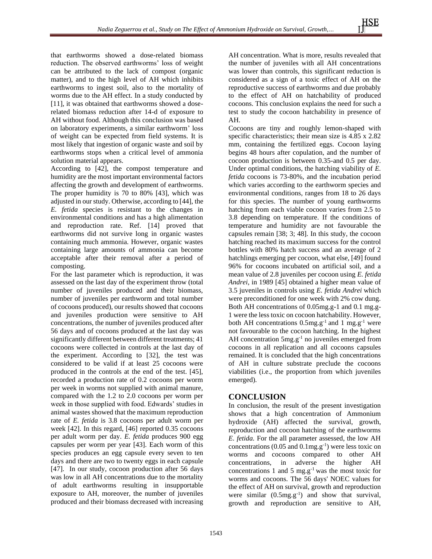that earthworms showed a dose-related biomass reduction. The observed earthworms' loss of weight can be attributed to the lack of compost (organic matter), and to the high level of AH which inhibits earthworms to ingest soil, also to the mortality of worms due to the AH effect. In a study conducted by [11], it was obtained that earthworms showed a doserelated biomass reduction after 14-d of exposure to AH without food. Although this conclusion was based on laboratory experiments, a similar earthworm' loss of weight can be expected from field systems. It is most likely that ingestion of organic waste and soil by earthworms stops when a critical level of ammonia solution material appears.

According to [42], the compost temperature and humidity are the most important environmental factors affecting the growth and development of earthworms. The proper humidity is 70 to 80% [43], which was adjusted in our study. Otherwise, according to [44], the *E. fetida* species is resistant to the changes in environmental conditions and has a high alimentation and reproduction rate. Ref. [14] proved that earthworms did not survive long in organic wastes containing much ammonia. However, organic wastes containing large amounts of ammonia can become acceptable after their removal after a period of composting.

For the last parameter which is reproduction, it was assessed on the last day of the experiment throw (total number of juveniles produced and their biomass, number of juveniles per earthworm and total number of cocoons produced), our results showed that cocoons and juveniles production were sensitive to AH concentrations, the number of juveniles produced after 56 days and of cocoons produced at the last day was significantly different between different treatments; 41 cocoons were collected in controls at the last day of the experiment. According to [32], the test was considered to be valid if at least 25 cocoons were produced in the controls at the end of the test. [45], recorded a production rate of 0.2 cocoons per worm per week in worms not supplied with animal manure, compared with the 1.2 to 2.0 cocoons per worm per week in those supplied with food. Edwards' studies in animal wastes showed that the maximum reproduction rate of *E. fetida* is 3.8 cocoons per adult worm per week [42]. In this regard, [46] reported 0.35 cocoons per adult worm per day. *E. fetida* produces 900 egg capsules per worm per year [43]. Each worm of this species produces an egg capsule every seven to ten days and there are two to twenty eggs in each capsule [47]. In our study, cocoon production after 56 days was low in all AH concentrations due to the mortality of adult earthworms resulting in insupportable exposure to AH, moreover, the number of juveniles produced and their biomass decreased with increasing AH concentration. What is more, results revealed that the number of juveniles with all AH concentrations was lower than controls, this significant reduction is considered as a sign of a toxic effect of AH on the reproductive success of earthworms and due probably to the effect of AH on hatchability of produced cocoons. This conclusion explains the need for such a test to study the cocoon hatchability in presence of AH.

Cocoons are tiny and roughly lemon-shaped with specific characteristics; their mean size is 4.85 x 2.82 mm, containing the fertilized eggs. Cocoon laying begins 48 hours after copulation, and the number of cocoon production is between 0.35-and 0.5 per day. Under optimal conditions, the hatching viability of *E. fetida* cocoons is 73-80%, and the incubation period which varies according to the earthworm species and environmental conditions, ranges from 18 to 26 days for this species. The number of young earthworms hatching from each viable cocoon varies from 2.5 to 3.8 depending on temperature. If the conditions of temperature and humidity are not favourable the capsules remain [38; 3; 48]. In this study, the cocoon hatching reached its maximum success for the control bottles with 80% hatch success and an average of 2 hatchlings emerging per cocoon, what else, [49] found 96% for cocoons incubated on artificial soil, and a mean value of 2.8 juveniles per cocoon using *E. fetida Andrei*, in 1989 [45] obtained a higher mean value of 3.5 juveniles in controls using *E. fetida Andrei* which were preconditioned for one week with 2% cow dung. Both AH concentrations of 0.05mg.g-1 and 0.1 mg.g-1 were the less toxic on cocoon hatchability. However, both AH concentrations  $0.5mg.g^{-1}$  and 1 mg.g<sup>-1</sup> were not favourable to the cocoon hatching. In the highest AH concentration  $5mg.g^{-1}$  no juveniles emerged from cocoons in all replication and all cocoons capsules remained. It is concluded that the high concentrations of AH in culture substrate preclude the cocoons viabilities (i.e., the proportion from which juveniles emerged).

# **CONCLUSION**

In conclusion, the result of the present investigation shows that a high concentration of Ammonium hydroxide (AH) affected the survival, growth, reproduction and cocoon hatching of the earthworms *E. fetida.* For the all parameter assessed, the low AH concentrations  $(0.05 \text{ and } 0.1 \text{mg.g}^{-1})$  were less toxic on worms and cocoons compared to other AH concentrations, in adverse the higher AH concentrations 1 and 5 mg.g<sup>-1</sup> was the most toxic for worms and cocoons. The 56 days' NOEC values for the effect of AH on survival, growth and reproduction were similar  $(0.5mg.g^{-1})$  and show that survival, growth and reproduction are sensitive to AH,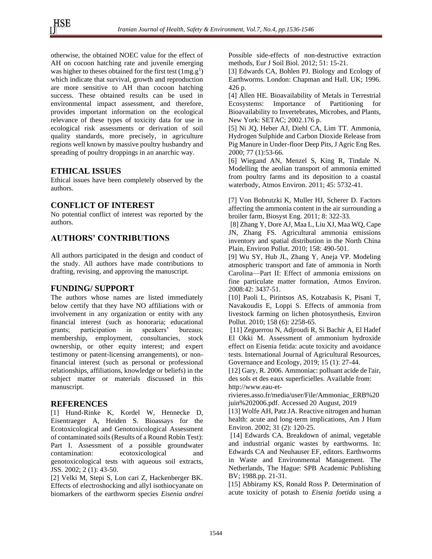otherwise, the obtained NOEC value for the effect of AH on cocoon hatching rate and juvenile emerging was higher to theses obtained for the first test  $(1mg.g<sup>1</sup>)$ which indicate that survival, growth and reproduction are more sensitive to AH than cocoon hatching success. These obtained results can be used in environmental impact assessment, and therefore, provides important information on the ecological relevance of these types of toxicity data for use in ecological risk assessments or derivation of soil quality standards, more precisely, in agriculture regions well known by massive poultry husbandry and spreading of poultry droppings in an anarchic way.

# **ETHICAL ISSUES**

Ethical issues have been completely observed by the authors.

### **CONFLICT OF INTEREST**

No potential conflict of interest was reported by the authors.

### **AUTHORS' CONTRIBUTIONS**

All authors participated in the design and conduct of the study. All authors have made contributions to drafting, revising, and approving the manuscript.

#### **FUNDING/ SUPPORT**

The authors whose names are listed immediately below certify that they have NO affiliations with or involvement in any organization or entity with any financial interest (such as honoraria; educational grants; participation in speakers' bureaus; membership, employment, consultancies, stock ownership, or other equity interest; and expert testimony or patent-licensing arrangements), or nonfinancial interest (such as personal or professional relationships, affiliations, knowledge or beliefs) in the subject matter or materials discussed in this manuscript.

### **REFERENCES**

[1] Hund-Rinke K, Kordel W, Hennecke D, Eisentraeger A, Heiden S. Bioassays for the Ecotoxicological and Genotoxicological Assessment of contaminated soils (Results of a Round Robin Test): Part I. Assessment of a possible groundwater contamination: ecotoxicological and genotoxicological tests with aqueous soil extracts, JSS. 2002; 2 (1): 43-50.

[2] Velki M, Stepi S, Lon cari Z, Hackenberger BK. Effects of electroshocking and allyl isothiocyanate on biomarkers of the earthworm species *Eisenia andrei* Possible side-effects of non-destructive extraction methods, Eur J Soil Biol. 2012; 51: 15-21.

[3] Edwards CA, Bohlen PJ. Biology and Ecology of Earthworms. London: Chapman and Hall. UK; 1996. 426 p.

[4] Allen HE. Bioavailability of Metals in Terrestrial Ecosystems: Importance of Partitioning for Bioavailability to Invertebrates, Microbes, and Plants, New York: SETAC; 2002.176 p.

[5] Ni JQ, Heber AJ, Diehl CA, Lim TT. Ammonia, Hydrogen Sulphide and Carbon Dioxide Release from Pig Manure in Under-floor Deep Pits, J Agric Eng Res. 2000; 77 (1):53-66.

[6] Wiegand AN, Menzel S, King R, Tindale N. Modelling the aeolian transport of ammonia emitted from poultry farms and its deposition to a coastal waterbody, Atmos Environ. 2011; 45: 5732-41.

[7] Von Bobrutzki K, Muller HJ, Scherer D. Factors affecting the ammonia content in the air surrounding a broiler farm, Biosyst Eng. 2011; 8: 322-33.

[8] Zhang Y, Dore AJ, Maa L, Liu XJ, Maa WQ, Cape JN, Zhang FS. Agricultural ammonia emissions inventory and spatial distribution in the North China Plain, Environ Pollut. 2010; 158: 490-501.

[9] Wu SY, Hub JL, Zhang Y, Aneja VP. Modeling atmospheric transport and fate of ammonia in North Carolina—Part II: Effect of ammonia emissions on fine particulate matter formation, Atmos Environ. 2008:42: 3437-51.

[10] Paoli L, Pirintsos AS, Kotzabasis K, Pisani T, Navakoudis E, Loppi S. Effects of ammonia from livestock farming on lichen photosynthesis, Environ Pollut. 2010; 158 (6): 2258-65.

[11] Zeguerrou N, Adjroudi R, Si Bachir A, El Hadef El Okki M. Assessment of ammonium hydroxide effect on Eisenia fetida: acute toxicity and avoidance tests. International Journal of Agricultural Resources, Governance and Ecology, 2019; 15 (1): 27-44.

[12] Gary, R. 2006. Ammoniac: polluant acide de l'air, des sols et des eaux superficielles. Available from: http://www.eau-et-

rivieres.asso.fr/media/user/File/Ammoniac\_ERB%20 juin%202006.pdf. Accessed 20 August, 2019

[13] Wolfe AH, Patz JA. Reactive nitrogen and human health: acute and long-term implications, Am J Hum Environ. 2002; 31 (2): 120-25.

[14] Edwards CA. Breakdown of animal, vegetable and industrial organic wastes by earthworms. In: Edwards CA and Neuhauser EF, editors. Earthworms in Waste and Environmental Management. The Netherlands, The Hague: SPB Academic Publishing BV; 1988.pp. 21-31.

[15] Abbiramy KS, Ronald Ross P. Determination of acute toxicity of potash to *Eisenia foetida* using a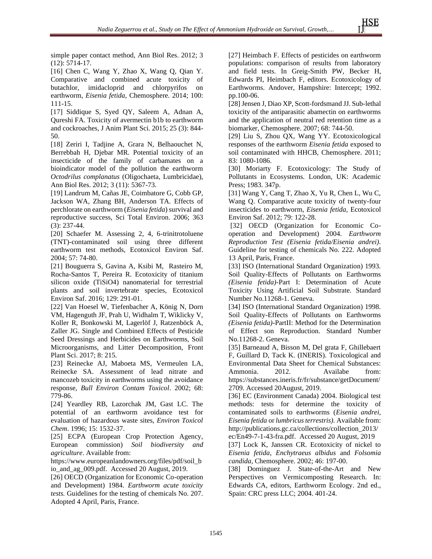simple paper contact method, Ann Biol Res. 2012; 3 (12): 5714-17.

[16] Chen C, Wang Y, Zhao X, Wang Q, Qian Y. Comparative and combined acute toxicity of butachlor, imidacloprid and chlorpyrifos on earthworm, *Eisenia fetida*, Chemosphere. 2014; 100: 111-15.

[17] Siddique S, Syed QY, Saleem A, Adnan A, Qureshi FA. Toxicity of avermectin b1b to earthworm and cockroaches, J Anim Plant Sci. 2015; 25 (3): 844- 50.

[18] Zeriri I, Tadjine A, Grara N, Belhaouchet N, Berrebbah H, Djebar MR. Potential toxicity of an insecticide of the family of carbamates on a bioindicator model of the pollution the earthworm *Octodrilus complanatus* (Oligochaeta, Lumbricidae), Ann Biol Res. 2012; 3 (11): 5367-73.

[19] Landrum M, Cañas JE, Coimbatore G, Cobb GP, Jackson WA, Zhang BH, Anderson TA. Effects of perchlorate on earthworm (*Eisenia fetida*) survival and reproductive success, Sci Total Environ. 2006; 363 (3): 237-44.

[20] Schaefer M. Assessing 2, 4, 6-trinitrotoluene (TNT)-contaminated soil using three different earthworm test methods, Ecotoxicol Environ Saf. 2004; 57: 74-80.

[21] Bouguerra S, Gavina A, Ksibi M, Rasteiro M, Rocha-Santos T, Pereira R. Ecotoxicity of titanium silicon oxide (TiSiO4) nanomaterial for terrestrial plants and soil invertebrate species, Ecotoxicol Environ Saf. 2016; 129: 291-01.

[22] Van Hoesel W, Tiefenbacher A, König N, Dorn VM, Hagenguth JF, Prah U, Widhalm T, Wiklicky V, Koller R, Bonkowski M, Lagerlöf J, Ratzenböck A, Zaller JG. Single and Combined Effects of Pesticide Seed Dressings and Herbicides on Earthworms, Soil Microorganisms, and Litter Decomposition, Front Plant Sci. 2017; 8: 215.

[23] Reinecke AJ, Maboeta MS, Vermeulen LA, Reinecke SA. Assessment of lead nitrate and mancozeb toxicity in earthworms using the avoidance response, *Bull Environ Contam Toxicol*. 2002; 68: 779-86.

[24] Yeardley RB, Lazorchak JM, Gast LC. The potential of an earthworm avoidance test for evaluation of hazardous waste sites, *Environ Toxicol Chem*. 1996; 15: 1532-37.

[25] ECPA (European Crop Protection Agency, European commission) *Soil biodiversity and agriculture*. Available from:

https://www.europeanlandowners.org/files/pdf/soil\_b io\_and\_ag\_009.pdf. Accessed 20 August, 2019.

[26] OECD (Organization for Economic Co-operation and Development) 1984. *Earthworm acute toxicity tests.* Guidelines for the testing of chemicals No. 207. Adopted 4 April, Paris, France.

[27] Heimbach F. Effects of pesticides on earthworm populations: comparison of results from laboratory and field tests. In Greig-Smith PW, Becker H, Edwards PI, Heimbach F, editors. Ecotoxicology of Earthworms. Andover, Hampshire: Intercept; 1992. pp.100**-**06.

[28] Jensen J, Diao XP, Scott-fordsmand JJ. Sub-lethal toxicity of the antiparasitic abamectin on earthworms and the application of neutral red retention time as a biomarker, Chemosphere. 2007; 68: 744-50.

[29] Liu S, Zhou QX, Wang YY. Ecotoxicological responses of the earthworm *Eisenia fetida* exposed to soil contaminated with HHCB, Chemosphere. 2011; 83: 1080-1086.

[30] Moriarty F. Ecotoxicology: The Study of Pollutants in Ecosystems*.* London, UK: Academic Press; 1983. 347p.

[31] Wang Y, Cang T, Zhao X, Yu R, Chen L, Wu C, Wang Q. Comparative acute toxicity of twenty-four insecticides to earthworm, *Eisenia fetida,* Ecotoxicol Environ Saf. 2012; 79: 122-28.

[32] OECD (Organization for Economic Cooperation and Development) 2004. *Earthworm Reproduction Test (Eisenia fetida/Eisenia andrei).* Guideline for testing of chemicals No. 222. Adopted 13 April, Paris, France.

[33] ISO (International Standard Organization) 1993. Soil Quality-Effects of Pollutants on Earthworms *(Eisenia fetida)*-Part I: Determination of Acute Toxicity Using Artificial Soil Substrate. Standard Number No.11268-1. Geneva.

[34] ISO (International Standard Organization) 1998. Soil Quality-Effects of Pollutants on Earthworms *(Eisenia fetida)-*PartII: Method for the Determination of Effect son Reproduction. Standard Number No.11268-2. Geneva.

[35] Barneaud A, Bisson M, Del grata F, Ghillebaert F, Guillard D, Tack K. (INERIS). Toxicological and Environmental Data Sheet for Chemical Substances: Ammonia. 2012. Availabe from: https://substances.ineris.fr/fr/substance/getDocument/ 2709. Accessed 20August, 2019.

[36] EC (Environment Canada) 2004. Biological test methods: tests for determine the toxicity of contaminated soils to earthworms (*Eisenia andrei, Eisenia fetida* or *lumbricus terrestris).* Available from: http://publications.gc.ca/collections/collection\_2013/ ec/En49-7-1-43-fra.pdf. Accessed 20 August, 2019

[37] Lock K, Janssen CR. Ecotoxicity of nickel to *Eisenia fetida*, *Enchytraeus albidus* and *Folsomia candida,* Chemosphere. 2002; 46: 197-00.

[38] Dominguez J. State-of-the-Art and New Perspectives on Vermicomposting Research. In: Edwards CA, editors, Earthworm Ecology. 2nd ed., Spain: CRC press LLC; 2004. 401-24.